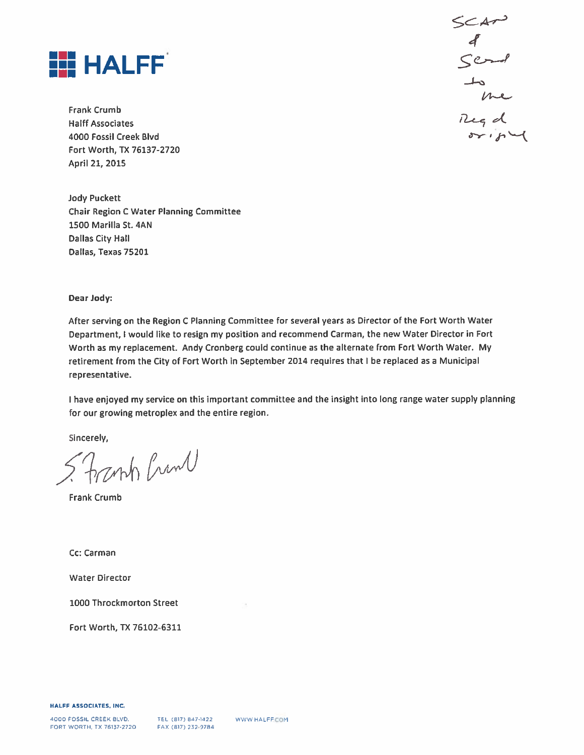

**Frank Crumb Halff Associates** 4000 Fossil Creek Blvd Fort Worth, TX 76137-2720 April 21, 2015

**Jody Puckett Chair Region C Water Planning Committee** 1500 Marilla St. 4AN **Dallas City Hall** Dallas, Texas 75201

Dear Jody:

After serving on the Region C Planning Committee for several years as Director of the Fort Worth Water Department, I would like to resign my position and recommend Carman, the new Water Director in Fort Worth as my replacement. Andy Cronberg could continue as the alternate from Fort Worth Water. My retirement from the City of Fort Worth in September 2014 requires that I be replaced as a Municipal representative.

I have enjoyed my service on this important committee and the insight into long range water supply planning for our growing metroplex and the entire region.

Sincerely,

anh Crima

**Frank Crumb** 

Cc: Carman

**Water Director** 

1000 Throckmorton Street

Fort Worth, TX 76102-6311

HALFF ASSOCIATES, INC.

SCAN<br>8<br>Scrol to me<br>Reg d<br>origed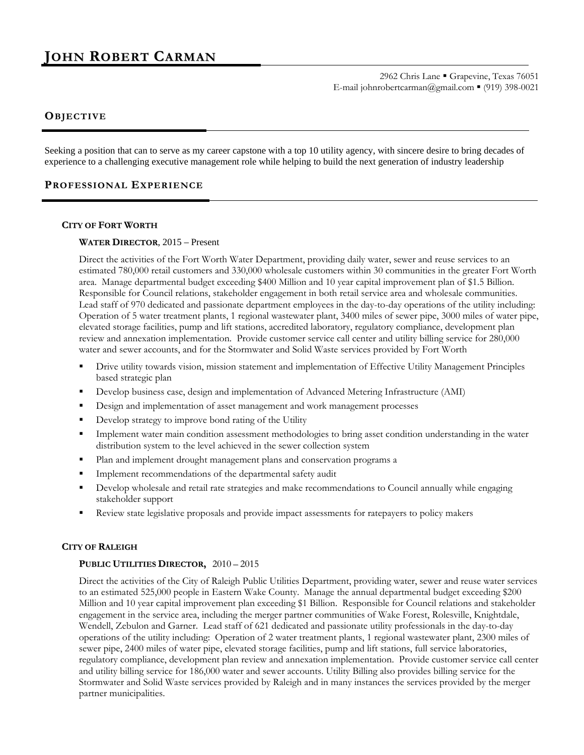# **JOHN ROBERT CARMAN**

2962 Chris Lane Grapevine, Texas 76051 E-mail johnrobertcarman@gmail.com (919) 398-0021

### **OBJ ECTIVE**

Seeking a position that can to serve as my career capstone with a top 10 utility agency, with sincere desire to bring decades of experience to a challenging executive management role while helping to build the next generation of industry leadership

### **PROFESSIONAL EXPERI ENCE**

### **CITY OF FORT WORTH**

### **WATER DIRECTOR**, 2015 – Present

Direct the activities of the Fort Worth Water Department, providing daily water, sewer and reuse services to an estimated 780,000 retail customers and 330,000 wholesale customers within 30 communities in the greater Fort Worth area. Manage departmental budget exceeding \$400 Million and 10 year capital improvement plan of \$1.5 Billion. Responsible for Council relations, stakeholder engagement in both retail service area and wholesale communities. Lead staff of 970 dedicated and passionate department employees in the day-to-day operations of the utility including: Operation of 5 water treatment plants, 1 regional wastewater plant, 3400 miles of sewer pipe, 3000 miles of water pipe, elevated storage facilities, pump and lift stations, accredited laboratory, regulatory compliance, development plan review and annexation implementation. Provide customer service call center and utility billing service for 280,000 water and sewer accounts, and for the Stormwater and Solid Waste services provided by Fort Worth

- Drive utility towards vision, mission statement and implementation of Effective Utility Management Principles based strategic plan
- Develop business case, design and implementation of Advanced Metering Infrastructure (AMI)
- Design and implementation of asset management and work management processes
- Develop strategy to improve bond rating of the Utility
- Implement water main condition assessment methodologies to bring asset condition understanding in the water distribution system to the level achieved in the sewer collection system
- Plan and implement drought management plans and conservation programs a
- Implement recommendations of the departmental safety audit
- Develop wholesale and retail rate strategies and make recommendations to Council annually while engaging stakeholder support
- Review state legislative proposals and provide impact assessments for ratepayers to policy makers

### **CITY OF RALEIGH**

### **PUBLIC UTILITIES DIRECTOR,** 2010 – 2015

Direct the activities of the City of Raleigh Public Utilities Department, providing water, sewer and reuse water services to an estimated 525,000 people in Eastern Wake County. Manage the annual departmental budget exceeding \$200 Million and 10 year capital improvement plan exceeding \$1 Billion. Responsible for Council relations and stakeholder engagement in the service area, including the merger partner communities of Wake Forest, Rolesville, Knightdale, Wendell, Zebulon and Garner. Lead staff of 621 dedicated and passionate utility professionals in the day-to-day operations of the utility including: Operation of 2 water treatment plants, 1 regional wastewater plant, 2300 miles of sewer pipe, 2400 miles of water pipe, elevated storage facilities, pump and lift stations, full service laboratories, regulatory compliance, development plan review and annexation implementation. Provide customer service call center and utility billing service for 186,000 water and sewer accounts. Utility Billing also provides billing service for the Stormwater and Solid Waste services provided by Raleigh and in many instances the services provided by the merger partner municipalities.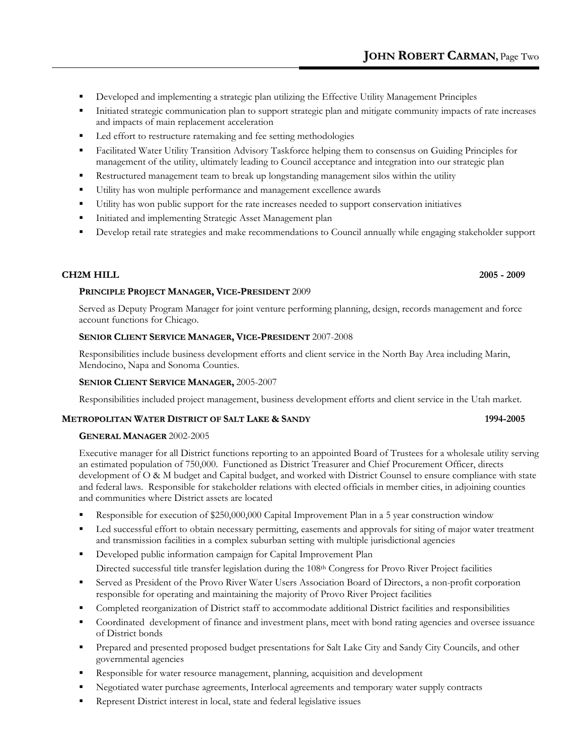- Developed and implementing a strategic plan utilizing the Effective Utility Management Principles
- Initiated strategic communication plan to support strategic plan and mitigate community impacts of rate increases and impacts of main replacement acceleration
- Led effort to restructure ratemaking and fee setting methodologies
- Facilitated Water Utility Transition Advisory Taskforce helping them to consensus on Guiding Principles for management of the utility, ultimately leading to Council acceptance and integration into our strategic plan
- Restructured management team to break up longstanding management silos within the utility
- Utility has won multiple performance and management excellence awards
- Utility has won public support for the rate increases needed to support conservation initiatives
- **Initiated and implementing Strategic Asset Management plan**
- Develop retail rate strategies and make recommendations to Council annually while engaging stakeholder support

## **CH2M HILL 2005 - 2009**

## **PRINCIPLE PROJECT MANAGER, VICE-PRESIDENT** 2009

Served as Deputy Program Manager for joint venture performing planning, design, records management and force account functions for Chicago.

## **SENIOR CLIENT SERVICE MANAGER, VICE-PRESIDENT** 2007-2008

Responsibilities include business development efforts and client service in the North Bay Area including Marin, Mendocino, Napa and Sonoma Counties.

## **SENIOR CLIENT SERVICE MANAGER,** 2005-2007

Responsibilities included project management, business development efforts and client service in the Utah market.

## **METROPOLITAN WATER DISTRICT OF SALT LAKE & SANDY 1994-2005**

## **GENERAL MANAGER** 2002-2005

Executive manager for all District functions reporting to an appointed Board of Trustees for a wholesale utility serving an estimated population of 750,000. Functioned as District Treasurer and Chief Procurement Officer, directs development of O & M budget and Capital budget, and worked with District Counsel to ensure compliance with state and federal laws. Responsible for stakeholder relations with elected officials in member cities, in adjoining counties and communities where District assets are located

- Responsible for execution of \$250,000,000 Capital Improvement Plan in a 5 year construction window
- Led successful effort to obtain necessary permitting, easements and approvals for siting of major water treatment and transmission facilities in a complex suburban setting with multiple jurisdictional agencies
- Developed public information campaign for Capital Improvement Plan Directed successful title transfer legislation during the 108<sup>th</sup> Congress for Provo River Project facilities
- Served as President of the Provo River Water Users Association Board of Directors, a non-profit corporation responsible for operating and maintaining the majority of Provo River Project facilities
- Completed reorganization of District staff to accommodate additional District facilities and responsibilities
- Coordinated development of finance and investment plans, meet with bond rating agencies and oversee issuance of District bonds
- Prepared and presented proposed budget presentations for Salt Lake City and Sandy City Councils, and other governmental agencies
- Responsible for water resource management, planning, acquisition and development
- Negotiated water purchase agreements, Interlocal agreements and temporary water supply contracts
- Represent District interest in local, state and federal legislative issues